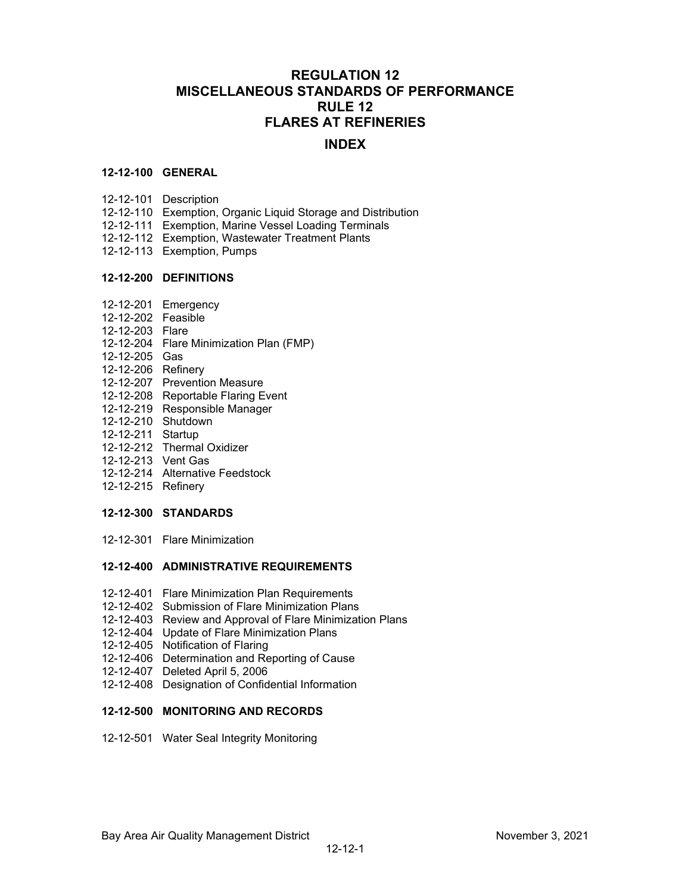# **REGULATION 12 MISCELLANEOUS STANDARDS OF PERFORMANCE RULE 12 FLARES AT REFINERIES**

## **INDEX**

#### **12-12-100 GENERAL**

- 12-12-101 Description
- 12-12-110 Exemption, Organic Liquid Storage and Distribution
- 12-12-111 Exemption, Marine Vessel Loading Terminals
- 12-12-112 Exemption, Wastewater Treatment Plants
- 12-12-113 Exemption, Pumps

#### **12-12-200 DEFINITIONS**

- 12-12-201 Emergency
- 12-12-202 Feasible
- 12-12-203 Flare
- 12-12-204 Flare Minimization Plan (FMP)
- 12-12-205 Gas
- 12-12-206 Refinery
- 12-12-207 Prevention Measure
- 12-12-208 Reportable Flaring Event
- 12-12-219 Responsible Manager
- 12-12-210 Shutdown
- 12-12-211 Startup
- 12-12-212 Thermal Oxidizer
- 12-12-213 Vent Gas
- 12-12-214 Alternative Feedstock
- 12-12-215 Refinery

### **12-12-300 STANDARDS**

12-12-301 Flare Minimization

### **12-12-400 ADMINISTRATIVE REQUIREMENTS**

- 12-12-401 Flare Minimization Plan Requirements
- 12-12-402 Submission of Flare Minimization Plans
- 12-12-403 Review and Approval of Flare Minimization Plans
- 12-12-404 Update of Flare Minimization Plans
- 12-12-405 Notification of Flaring
- 12-12-406 Determination and Reporting of Cause
- 12-12-407 Deleted April 5, 2006
- 12-12-408 Designation of Confidential Information

### **12-12-500 MONITORING AND RECORDS**

12-12-501 Water Seal Integrity Monitoring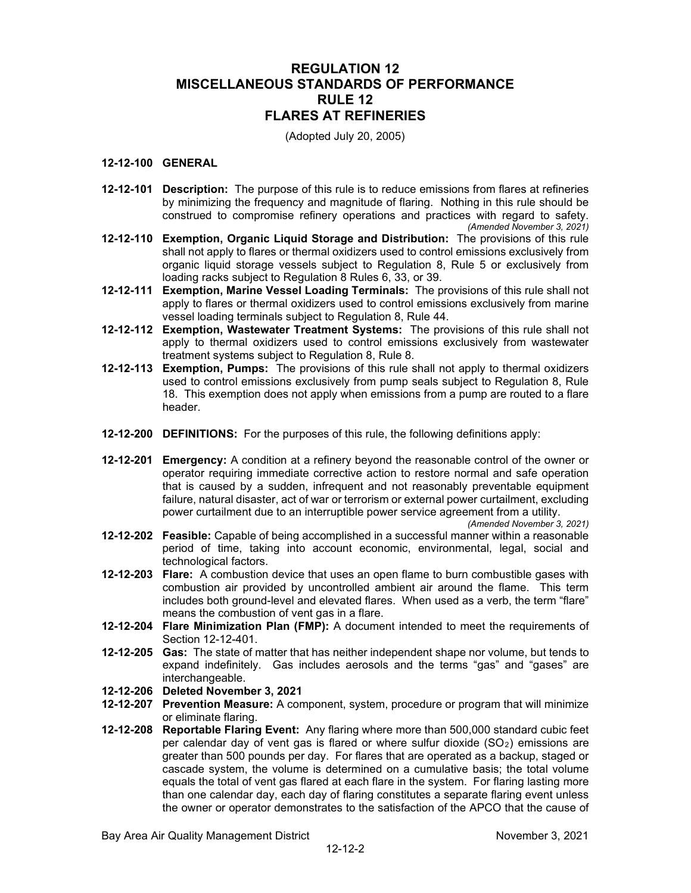# **REGULATION 12 MISCELLANEOUS STANDARDS OF PERFORMANCE RULE 12 FLARES AT REFINERIES**

(Adopted July 20, 2005)

## **12-12-100 GENERAL**

- **12-12-101 Description:** The purpose of this rule is to reduce emissions from flares at refineries by minimizing the frequency and magnitude of flaring. Nothing in this rule should be construed to compromise refinery operations and practices with regard to safety. *(Amended November 3, 2021)*
- **12-12-110 Exemption, Organic Liquid Storage and Distribution:** The provisions of this rule shall not apply to flares or thermal oxidizers used to control emissions exclusively from organic liquid storage vessels subject to Regulation 8, Rule 5 or exclusively from loading racks subject to Regulation 8 Rules 6, 33, or 39.
- **12-12-111 Exemption, Marine Vessel Loading Terminals:** The provisions of this rule shall not apply to flares or thermal oxidizers used to control emissions exclusively from marine vessel loading terminals subject to Regulation 8, Rule 44.
- **12-12-112 Exemption, Wastewater Treatment Systems:** The provisions of this rule shall not apply to thermal oxidizers used to control emissions exclusively from wastewater treatment systems subject to Regulation 8, Rule 8.
- **12-12-113 Exemption, Pumps:** The provisions of this rule shall not apply to thermal oxidizers used to control emissions exclusively from pump seals subject to Regulation 8, Rule 18. This exemption does not apply when emissions from a pump are routed to a flare header.
- **12-12-200 DEFINITIONS:** For the purposes of this rule, the following definitions apply:
- **12-12-201 Emergency:** A condition at a refinery beyond the reasonable control of the owner or operator requiring immediate corrective action to restore normal and safe operation that is caused by a sudden, infrequent and not reasonably preventable equipment failure, natural disaster, act of war or terrorism or external power curtailment, excluding power curtailment due to an interruptible power service agreement from a utility.

*(Amended November 3, 2021)*

- **12-12-202 Feasible:** Capable of being accomplished in a successful manner within a reasonable period of time, taking into account economic, environmental, legal, social and technological factors.
- **12-12-203 Flare:** A combustion device that uses an open flame to burn combustible gases with combustion air provided by uncontrolled ambient air around the flame. This term includes both ground-level and elevated flares. When used as a verb, the term "flare" means the combustion of vent gas in a flare.
- **12-12-204 Flare Minimization Plan (FMP):** A document intended to meet the requirements of Section 12-12-401.
- **12-12-205 Gas:** The state of matter that has neither independent shape nor volume, but tends to expand indefinitely. Gas includes aerosols and the terms "gas" and "gases" are interchangeable.
- **12-12-206 Deleted November 3, 2021**
- **12-12-207 Prevention Measure:** A component, system, procedure or program that will minimize or eliminate flaring.
- **12-12-208 Reportable Flaring Event:** Any flaring where more than 500,000 standard cubic feet per calendar day of vent gas is flared or where sulfur dioxide  $(SO<sub>2</sub>)$  emissions are greater than 500 pounds per day. For flares that are operated as a backup, staged or cascade system, the volume is determined on a cumulative basis; the total volume equals the total of vent gas flared at each flare in the system. For flaring lasting more than one calendar day, each day of flaring constitutes a separate flaring event unless the owner or operator demonstrates to the satisfaction of the APCO that the cause of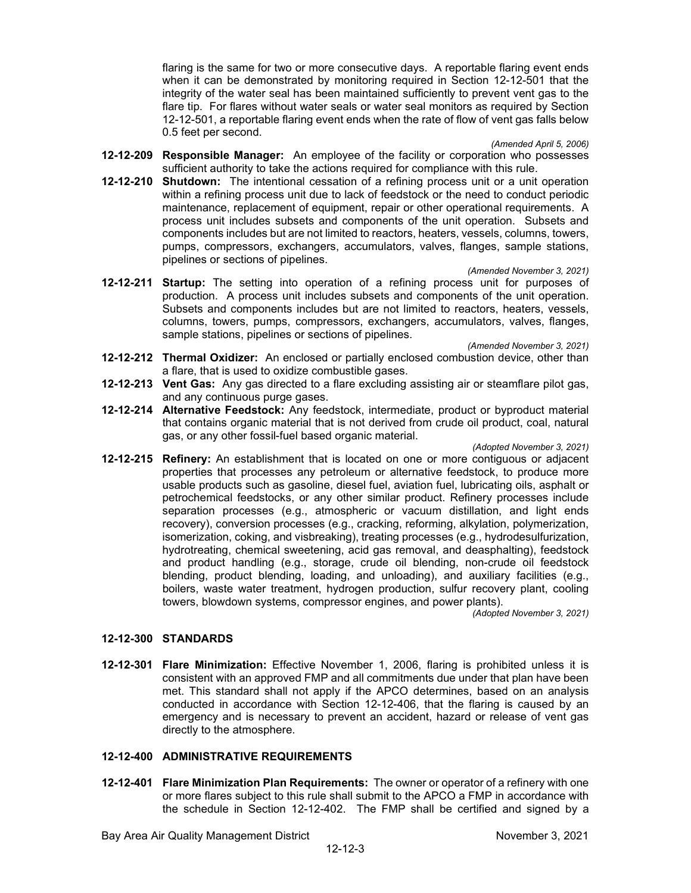flaring is the same for two or more consecutive days. A reportable flaring event ends when it can be demonstrated by monitoring required in Section 12-12-501 that the integrity of the water seal has been maintained sufficiently to prevent vent gas to the flare tip. For flares without water seals or water seal monitors as required by Section 12-12-501, a reportable flaring event ends when the rate of flow of vent gas falls below 0.5 feet per second.

*(Amended April 5, 2006)*

- **12-12-209 Responsible Manager:** An employee of the facility or corporation who possesses sufficient authority to take the actions required for compliance with this rule.
- **12-12-210 Shutdown:** The intentional cessation of a refining process unit or a unit operation within a refining process unit due to lack of feedstock or the need to conduct periodic maintenance, replacement of equipment, repair or other operational requirements. A process unit includes subsets and components of the unit operation. Subsets and components includes but are not limited to reactors, heaters, vessels, columns, towers, pumps, compressors, exchangers, accumulators, valves, flanges, sample stations, pipelines or sections of pipelines.

*(Amended November 3, 2021)*

**12-12-211 Startup:** The setting into operation of a refining process unit for purposes of production. A process unit includes subsets and components of the unit operation. Subsets and components includes but are not limited to reactors, heaters, vessels, columns, towers, pumps, compressors, exchangers, accumulators, valves, flanges, sample stations, pipelines or sections of pipelines.

*(Amended November 3, 2021)*

- **12-12-212 Thermal Oxidizer:** An enclosed or partially enclosed combustion device, other than a flare, that is used to oxidize combustible gases.
- **12-12-213 Vent Gas:** Any gas directed to a flare excluding assisting air or steamflare pilot gas, and any continuous purge gases.
- **12-12-214 Alternative Feedstock:** Any feedstock, intermediate, product or byproduct material that contains organic material that is not derived from crude oil product, coal, natural gas, or any other fossil-fuel based organic material.

*(Adopted November 3, 2021)*

**12-12-215 Refinery:** An establishment that is located on one or more contiguous or adjacent properties that processes any petroleum or alternative feedstock, to produce more usable products such as gasoline, diesel fuel, aviation fuel, lubricating oils, asphalt or petrochemical feedstocks, or any other similar product. Refinery processes include separation processes (e.g., atmospheric or vacuum distillation, and light ends recovery), conversion processes (e.g., cracking, reforming, alkylation, polymerization, isomerization, coking, and visbreaking), treating processes (e.g., hydrodesulfurization, hydrotreating, chemical sweetening, acid gas removal, and deasphalting), feedstock and product handling (e.g., storage, crude oil blending, non-crude oil feedstock blending, product blending, loading, and unloading), and auxiliary facilities (e.g., boilers, waste water treatment, hydrogen production, sulfur recovery plant, cooling towers, blowdown systems, compressor engines, and power plants).

*(Adopted November 3, 2021)*

## **12-12-300 STANDARDS**

**12-12-301 Flare Minimization:** Effective November 1, 2006, flaring is prohibited unless it is consistent with an approved FMP and all commitments due under that plan have been met. This standard shall not apply if the APCO determines, based on an analysis conducted in accordance with Section 12-12-406, that the flaring is caused by an emergency and is necessary to prevent an accident, hazard or release of vent gas directly to the atmosphere.

## **12-12-400 ADMINISTRATIVE REQUIREMENTS**

**12-12-401 Flare Minimization Plan Requirements:** The owner or operator of a refinery with one or more flares subject to this rule shall submit to the APCO a FMP in accordance with the schedule in Section 12-12-402. The FMP shall be certified and signed by a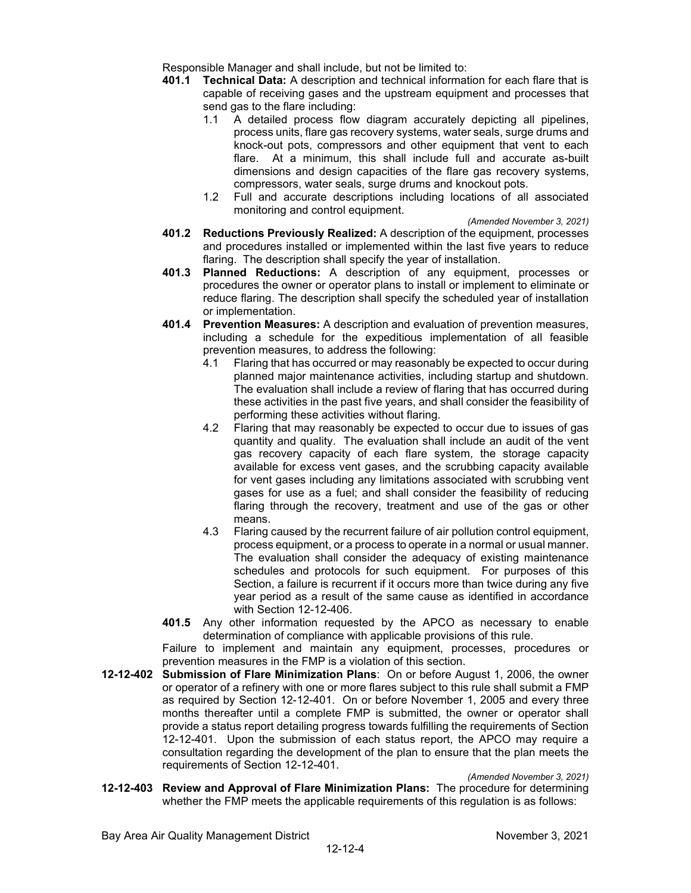Responsible Manager and shall include, but not be limited to:

- **401.1 Technical Data:** A description and technical information for each flare that is capable of receiving gases and the upstream equipment and processes that send gas to the flare including:
	- 1.1 A detailed process flow diagram accurately depicting all pipelines, process units, flare gas recovery systems, water seals, surge drums and knock-out pots, compressors and other equipment that vent to each flare. At a minimum, this shall include full and accurate as-built dimensions and design capacities of the flare gas recovery systems, compressors, water seals, surge drums and knockout pots.
	- 1.2 Full and accurate descriptions including locations of all associated monitoring and control equipment.
- *(Amended November 3, 2021)* **401.2 Reductions Previously Realized:** A description of the equipment, processes and procedures installed or implemented within the last five years to reduce flaring. The description shall specify the year of installation.
- **401.3 Planned Reductions:** A description of any equipment, processes or procedures the owner or operator plans to install or implement to eliminate or reduce flaring. The description shall specify the scheduled year of installation or implementation.
- **401.4 Prevention Measures:** A description and evaluation of prevention measures, including a schedule for the expeditious implementation of all feasible prevention measures, to address the following:
	- 4.1 Flaring that has occurred or may reasonably be expected to occur during planned major maintenance activities, including startup and shutdown. The evaluation shall include a review of flaring that has occurred during these activities in the past five years, and shall consider the feasibility of performing these activities without flaring.
	- 4.2 Flaring that may reasonably be expected to occur due to issues of gas quantity and quality. The evaluation shall include an audit of the vent gas recovery capacity of each flare system, the storage capacity available for excess vent gases, and the scrubbing capacity available for vent gases including any limitations associated with scrubbing vent gases for use as a fuel; and shall consider the feasibility of reducing flaring through the recovery, treatment and use of the gas or other means.
	- 4.3 Flaring caused by the recurrent failure of air pollution control equipment, process equipment, or a process to operate in a normal or usual manner. The evaluation shall consider the adequacy of existing maintenance schedules and protocols for such equipment. For purposes of this Section, a failure is recurrent if it occurs more than twice during any five year period as a result of the same cause as identified in accordance with Section 12-12-406.
- **401.5** Any other information requested by the APCO as necessary to enable determination of compliance with applicable provisions of this rule.

Failure to implement and maintain any equipment, processes, procedures or prevention measures in the FMP is a violation of this section.

**12-12-402 Submission of Flare Minimization Plans**: On or before August 1, 2006, the owner or operator of a refinery with one or more flares subject to this rule shall submit a FMP as required by Section 12-12-401. On or before November 1, 2005 and every three months thereafter until a complete FMP is submitted, the owner or operator shall provide a status report detailing progress towards fulfilling the requirements of Section 12-12-401. Upon the submission of each status report, the APCO may require a consultation regarding the development of the plan to ensure that the plan meets the requirements of Section 12-12-401.

*(Amended November 3, 2021)*

**12-12-403 Review and Approval of Flare Minimization Plans:** The procedure for determining whether the FMP meets the applicable requirements of this regulation is as follows: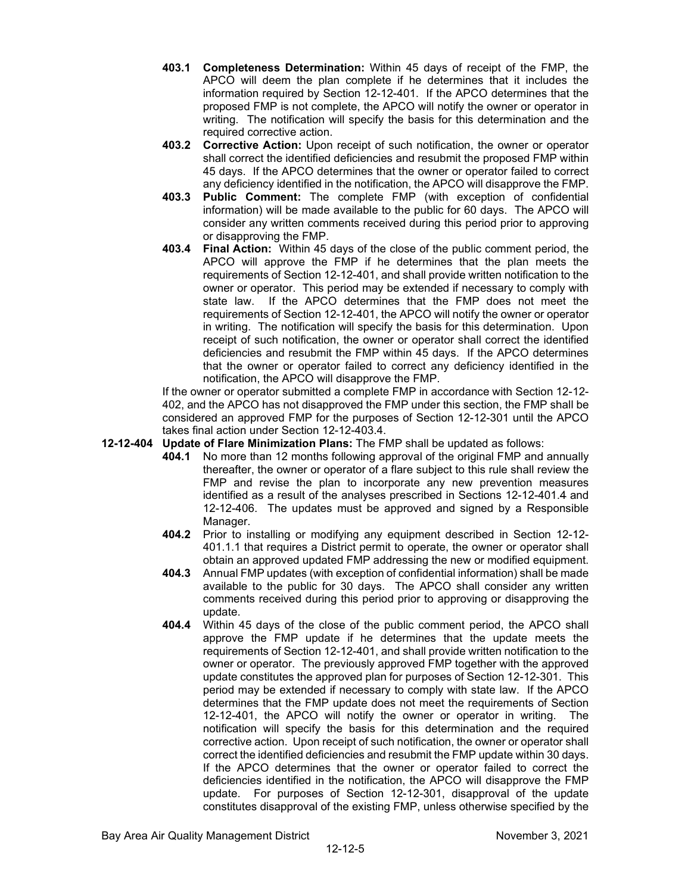- **403.1 Completeness Determination:** Within 45 days of receipt of the FMP, the APCO will deem the plan complete if he determines that it includes the information required by Section 12-12-401. If the APCO determines that the proposed FMP is not complete, the APCO will notify the owner or operator in writing. The notification will specify the basis for this determination and the required corrective action.
- **403.2 Corrective Action:** Upon receipt of such notification, the owner or operator shall correct the identified deficiencies and resubmit the proposed FMP within 45 days. If the APCO determines that the owner or operator failed to correct any deficiency identified in the notification, the APCO will disapprove the FMP.
- **403.3 Public Comment:** The complete FMP (with exception of confidential information) will be made available to the public for 60 days. The APCO will consider any written comments received during this period prior to approving or disapproving the FMP.
- **403.4 Final Action:** Within 45 days of the close of the public comment period, the APCO will approve the FMP if he determines that the plan meets the requirements of Section 12-12-401, and shall provide written notification to the owner or operator. This period may be extended if necessary to comply with state law. If the APCO determines that the FMP does not meet the requirements of Section 12-12-401, the APCO will notify the owner or operator in writing. The notification will specify the basis for this determination. Upon receipt of such notification, the owner or operator shall correct the identified deficiencies and resubmit the FMP within 45 days. If the APCO determines that the owner or operator failed to correct any deficiency identified in the notification, the APCO will disapprove the FMP.

If the owner or operator submitted a complete FMP in accordance with Section 12-12- 402, and the APCO has not disapproved the FMP under this section, the FMP shall be considered an approved FMP for the purposes of Section 12-12-301 until the APCO takes final action under Section 12-12-403.4.

### **12-12-404 Update of Flare Minimization Plans:** The FMP shall be updated as follows:

- **404.1** No more than 12 months following approval of the original FMP and annually thereafter, the owner or operator of a flare subject to this rule shall review the FMP and revise the plan to incorporate any new prevention measures identified as a result of the analyses prescribed in Sections 12-12-401.4 and 12-12-406. The updates must be approved and signed by a Responsible Manager.
- **404.2** Prior to installing or modifying any equipment described in Section 12-12- 401.1.1 that requires a District permit to operate, the owner or operator shall obtain an approved updated FMP addressing the new or modified equipment.
- **404.3** Annual FMP updates (with exception of confidential information) shall be made available to the public for 30 days. The APCO shall consider any written comments received during this period prior to approving or disapproving the update.
- **404.4** Within 45 days of the close of the public comment period, the APCO shall approve the FMP update if he determines that the update meets the requirements of Section 12-12-401, and shall provide written notification to the owner or operator. The previously approved FMP together with the approved update constitutes the approved plan for purposes of Section 12-12-301. This period may be extended if necessary to comply with state law. If the APCO determines that the FMP update does not meet the requirements of Section 12-12-401, the APCO will notify the owner or operator in writing. The notification will specify the basis for this determination and the required corrective action. Upon receipt of such notification, the owner or operator shall correct the identified deficiencies and resubmit the FMP update within 30 days. If the APCO determines that the owner or operator failed to correct the deficiencies identified in the notification, the APCO will disapprove the FMP update. For purposes of Section 12-12-301, disapproval of the update constitutes disapproval of the existing FMP, unless otherwise specified by the